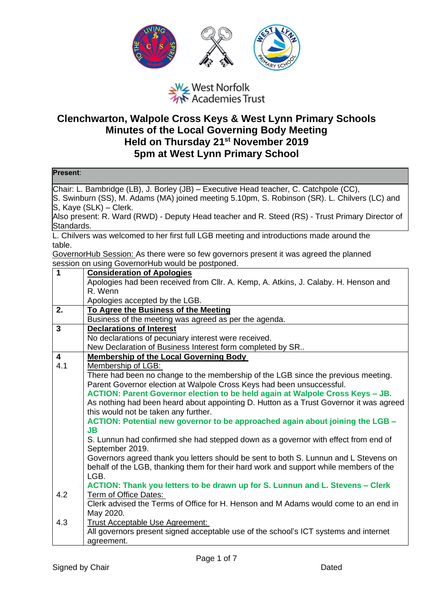

## West Norfolk<br>West Norfolk<br>We Academies Trust

## **Clenchwarton, Walpole Cross Keys & West Lynn Primary Schools Minutes of the Local Governing Body Meeting Held on Thursday 21st November 2019 5pm at West Lynn Primary School**

| Present:                                                                                                                                                                                                                                                                                                            |                                                                                                                                                                                                                 |  |
|---------------------------------------------------------------------------------------------------------------------------------------------------------------------------------------------------------------------------------------------------------------------------------------------------------------------|-----------------------------------------------------------------------------------------------------------------------------------------------------------------------------------------------------------------|--|
| Chair: L. Bambridge (LB), J. Borley (JB) – Executive Head teacher, C. Catchpole (CC),<br>S. Swinburn (SS), M. Adams (MA) joined meeting 5.10pm, S. Robinson (SR). L. Chilvers (LC) and<br>S, Kaye (SLK) - Clerk.<br>Also present: R. Ward (RWD) - Deputy Head teacher and R. Steed (RS) - Trust Primary Director of |                                                                                                                                                                                                                 |  |
| Standards.                                                                                                                                                                                                                                                                                                          | L. Chilvers was welcomed to her first full LGB meeting and introductions made around the                                                                                                                        |  |
| table.                                                                                                                                                                                                                                                                                                              |                                                                                                                                                                                                                 |  |
|                                                                                                                                                                                                                                                                                                                     | GovernorHub Session: As there were so few governors present it was agreed the planned                                                                                                                           |  |
|                                                                                                                                                                                                                                                                                                                     | session on using GovernorHub would be postponed.                                                                                                                                                                |  |
| $\mathbf{1}$                                                                                                                                                                                                                                                                                                        | <b>Consideration of Apologies</b>                                                                                                                                                                               |  |
|                                                                                                                                                                                                                                                                                                                     | Apologies had been received from Cllr. A. Kemp, A. Atkins, J. Calaby. H. Henson and                                                                                                                             |  |
|                                                                                                                                                                                                                                                                                                                     | R. Wenn                                                                                                                                                                                                         |  |
|                                                                                                                                                                                                                                                                                                                     | Apologies accepted by the LGB.                                                                                                                                                                                  |  |
| 2.                                                                                                                                                                                                                                                                                                                  | To Agree the Business of the Meeting                                                                                                                                                                            |  |
| $\mathbf{3}$                                                                                                                                                                                                                                                                                                        | Business of the meeting was agreed as per the agenda.<br><b>Declarations of Interest</b>                                                                                                                        |  |
|                                                                                                                                                                                                                                                                                                                     | No declarations of pecuniary interest were received.                                                                                                                                                            |  |
|                                                                                                                                                                                                                                                                                                                     | New Declaration of Business Interest form completed by SR                                                                                                                                                       |  |
| 4                                                                                                                                                                                                                                                                                                                   | <b>Membership of the Local Governing Body</b>                                                                                                                                                                   |  |
| 4.1                                                                                                                                                                                                                                                                                                                 | Membership of LGB:                                                                                                                                                                                              |  |
|                                                                                                                                                                                                                                                                                                                     | There had been no change to the membership of the LGB since the previous meeting.                                                                                                                               |  |
|                                                                                                                                                                                                                                                                                                                     | Parent Governor election at Walpole Cross Keys had been unsuccessful.                                                                                                                                           |  |
|                                                                                                                                                                                                                                                                                                                     | ACTION: Parent Governor election to be held again at Walpole Cross Keys - JB.<br>As nothing had been heard about appointing D. Hutton as a Trust Governor it was agreed<br>this would not be taken any further. |  |
|                                                                                                                                                                                                                                                                                                                     | ACTION: Potential new governor to be approached again about joining the LGB -<br><b>JB</b>                                                                                                                      |  |
|                                                                                                                                                                                                                                                                                                                     | S. Lunnun had confirmed she had stepped down as a governor with effect from end of<br>September 2019.                                                                                                           |  |
|                                                                                                                                                                                                                                                                                                                     | Governors agreed thank you letters should be sent to both S. Lunnun and L Stevens on<br>behalf of the LGB, thanking them for their hard work and support while members of the<br>LGB.                           |  |
|                                                                                                                                                                                                                                                                                                                     | ACTION: Thank you letters to be drawn up for S. Lunnun and L. Stevens - Clerk                                                                                                                                   |  |
| 4.2                                                                                                                                                                                                                                                                                                                 | Term of Office Dates:                                                                                                                                                                                           |  |
|                                                                                                                                                                                                                                                                                                                     | Clerk advised the Terms of Office for H. Henson and M Adams would come to an end in<br>May 2020.                                                                                                                |  |
| 4.3                                                                                                                                                                                                                                                                                                                 | <b>Trust Acceptable Use Agreement:</b>                                                                                                                                                                          |  |
|                                                                                                                                                                                                                                                                                                                     | All governors present signed acceptable use of the school's ICT systems and internet                                                                                                                            |  |
|                                                                                                                                                                                                                                                                                                                     | agreement.                                                                                                                                                                                                      |  |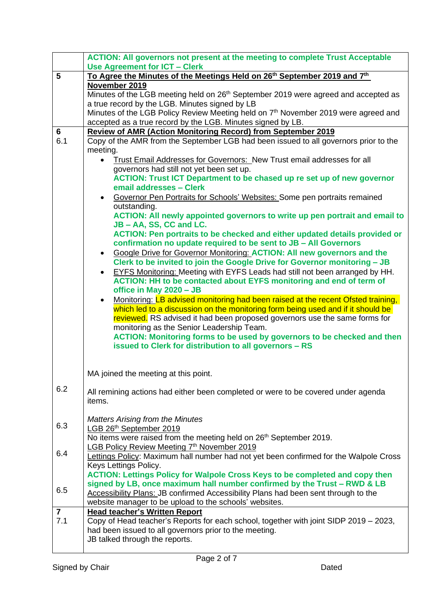|                | <b>ACTION: All governors not present at the meeting to complete Trust Acceptable</b>                                 |
|----------------|----------------------------------------------------------------------------------------------------------------------|
|                | <b>Use Agreement for ICT - Clerk</b>                                                                                 |
| 5              | To Agree the Minutes of the Meetings Held on 26 <sup>th</sup> September 2019 and 7 <sup>th</sup>                     |
|                | November 2019                                                                                                        |
|                | Minutes of the LGB meeting held on 26 <sup>th</sup> September 2019 were agreed and accepted as                       |
|                | a true record by the LGB. Minutes signed by LB                                                                       |
|                | Minutes of the LGB Policy Review Meeting held on 7 <sup>th</sup> November 2019 were agreed and                       |
|                | accepted as a true record by the LGB. Minutes signed by LB.                                                          |
| 6              | <b>Review of AMR (Action Monitoring Record) from September 2019</b>                                                  |
| 6.1            | Copy of the AMR from the September LGB had been issued to all governors prior to the                                 |
|                | meeting.                                                                                                             |
|                | Trust Email Addresses for Governors: New Trust email addresses for all<br>$\bullet$                                  |
|                | governors had still not yet been set up.                                                                             |
|                | <b>ACTION: Trust ICT Department to be chased up re set up of new governor</b><br>email addresses - Clerk             |
|                | Governor Pen Portraits for Schools' Websites: Some pen portraits remained<br>$\bullet$                               |
|                | outstanding.                                                                                                         |
|                | ACTION: All newly appointed governors to write up pen portrait and email to                                          |
|                | JB - AA, SS, CC and LC.                                                                                              |
|                | ACTION: Pen portraits to be checked and either updated details provided or                                           |
|                | confirmation no update required to be sent to JB - All Governors                                                     |
|                | Google Drive for Governor Monitoring: ACTION: All new governors and the<br>$\bullet$                                 |
|                | Clerk to be invited to join the Google Drive for Governor monitoring - JB                                            |
|                | EYFS Monitoring: Meeting with EYFS Leads had still not been arranged by HH.<br>$\bullet$                             |
|                | <b>ACTION: HH to be contacted about EYFS monitoring and end of term of</b>                                           |
|                | office in May 2020 - JB                                                                                              |
|                | Monitoring: LB advised monitoring had been raised at the recent Ofsted training,<br>$\bullet$                        |
|                | which led to a discussion on the monitoring form being used and if it should be                                      |
|                | reviewed. RS advised it had been proposed governors use the same forms for                                           |
|                | monitoring as the Senior Leadership Team.<br>ACTION: Monitoring forms to be used by governors to be checked and then |
|                | issued to Clerk for distribution to all governors - RS                                                               |
|                |                                                                                                                      |
|                |                                                                                                                      |
|                | MA joined the meeting at this point.                                                                                 |
|                |                                                                                                                      |
| 6.2            | All remining actions had either been completed or were to be covered under agenda                                    |
|                | items.                                                                                                               |
|                |                                                                                                                      |
| 6.3            | <b>Matters Arising from the Minutes</b>                                                                              |
|                | LGB 26th September 2019<br>No items were raised from the meeting held on 26 <sup>th</sup> September 2019.            |
|                | LGB Policy Review Meeting 7th November 2019                                                                          |
| 6.4            | Lettings Policy: Maximum hall number had not yet been confirmed for the Walpole Cross                                |
|                | Keys Lettings Policy.                                                                                                |
|                | <b>ACTION: Lettings Policy for Walpole Cross Keys to be completed and copy then</b>                                  |
|                | signed by LB, once maximum hall number confirmed by the Trust – RWD & LB                                             |
| 6.5            | Accessibility Plans: JB confirmed Accessibility Plans had been sent through to the                                   |
|                | website manager to be upload to the schools' websites.                                                               |
| $\overline{7}$ | <b>Head teacher's Written Report</b>                                                                                 |
| 7.1            | Copy of Head teacher's Reports for each school, together with joint SIDP 2019 - 2023,                                |
|                | had been issued to all governors prior to the meeting.                                                               |
|                | JB talked through the reports.                                                                                       |
|                |                                                                                                                      |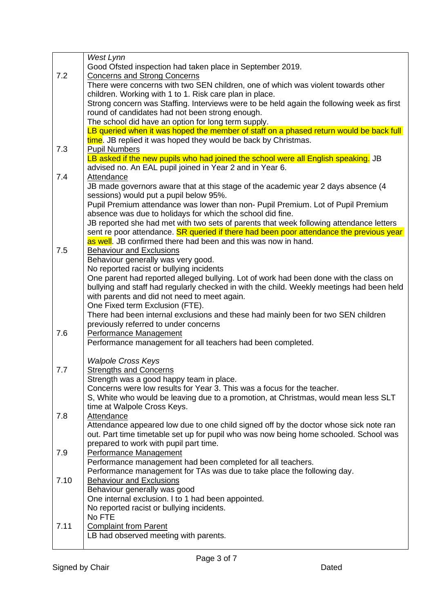|      | West Lynn                                                                                                                              |
|------|----------------------------------------------------------------------------------------------------------------------------------------|
|      | Good Ofsted inspection had taken place in September 2019.                                                                              |
| 7.2  | <b>Concerns and Strong Concerns</b>                                                                                                    |
|      | There were concerns with two SEN children, one of which was violent towards other                                                      |
|      | children. Working with 1 to 1. Risk care plan in place.                                                                                |
|      | Strong concern was Staffing. Interviews were to be held again the following week as first                                              |
|      | round of candidates had not been strong enough.                                                                                        |
|      | The school did have an option for long term supply.                                                                                    |
|      | LB queried when it was hoped the member of staff on a phased return would be back full                                                 |
|      | time. JB replied it was hoped they would be back by Christmas.                                                                         |
| 7.3  | <b>Pupil Numbers</b>                                                                                                                   |
|      | LB asked if the new pupils who had joined the school were all English speaking. JB                                                     |
|      | advised no. An EAL pupil joined in Year 2 and in Year 6.                                                                               |
| 7.4  | Attendance                                                                                                                             |
|      | JB made governors aware that at this stage of the academic year 2 days absence (4                                                      |
|      | sessions) would put a pupil below 95%.<br>Pupil Premium attendance was lower than non- Pupil Premium. Lot of Pupil Premium             |
|      | absence was due to holidays for which the school did fine.                                                                             |
|      | JB reported she had met with two sets of parents that week following attendance letters                                                |
|      | sent re poor attendance. SR queried if there had been poor attendance the previous year                                                |
|      | as well. JB confirmed there had been and this was now in hand.                                                                         |
| 7.5  | <b>Behaviour and Exclusions</b>                                                                                                        |
|      | Behaviour generally was very good.                                                                                                     |
|      | No reported racist or bullying incidents                                                                                               |
|      | One parent had reported alleged bullying. Lot of work had been done with the class on                                                  |
|      | bullying and staff had regularly checked in with the child. Weekly meetings had been held                                              |
|      | with parents and did not need to meet again.                                                                                           |
|      | One Fixed term Exclusion (FTE).                                                                                                        |
|      | There had been internal exclusions and these had mainly been for two SEN children                                                      |
| 7.6  | previously referred to under concerns                                                                                                  |
|      | Performance Management<br>Performance management for all teachers had been completed.                                                  |
|      |                                                                                                                                        |
|      | <b>Walpole Cross Keys</b>                                                                                                              |
| 7.7  | <b>Strengths and Concerns</b>                                                                                                          |
|      | Strength was a good happy team in place.                                                                                               |
|      | Concerns were low results for Year 3. This was a focus for the teacher.                                                                |
|      | S, White who would be leaving due to a promotion, at Christmas, would mean less SLT                                                    |
|      | time at Walpole Cross Keys.                                                                                                            |
| 7.8  | Attendance                                                                                                                             |
|      | Attendance appeared low due to one child signed off by the doctor whose sick note ran                                                  |
|      | out. Part time timetable set up for pupil who was now being home schooled. School was                                                  |
|      | prepared to work with pupil part time.                                                                                                 |
| 7.9  | Performance Management                                                                                                                 |
|      | Performance management had been completed for all teachers.<br>Performance management for TAs was due to take place the following day. |
| 7.10 | <b>Behaviour and Exclusions</b>                                                                                                        |
|      | Behaviour generally was good                                                                                                           |
|      | One internal exclusion. I to 1 had been appointed.                                                                                     |
|      | No reported racist or bullying incidents.                                                                                              |
|      | No FTE                                                                                                                                 |
| 7.11 | <b>Complaint from Parent</b>                                                                                                           |
|      | LB had observed meeting with parents.                                                                                                  |
|      |                                                                                                                                        |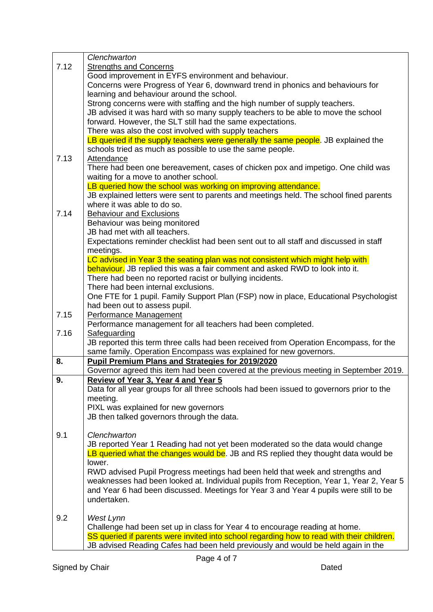|      | Clenchwarton                                                                              |
|------|-------------------------------------------------------------------------------------------|
| 7.12 | <b>Strengths and Concerns</b>                                                             |
|      | Good improvement in EYFS environment and behaviour.                                       |
|      | Concerns were Progress of Year 6, downward trend in phonics and behaviours for            |
|      | learning and behaviour around the school.                                                 |
|      | Strong concerns were with staffing and the high number of supply teachers.                |
|      | JB advised it was hard with so many supply teachers to be able to move the school         |
|      | forward. However, the SLT still had the same expectations.                                |
|      | There was also the cost involved with supply teachers                                     |
|      | LB queried if the supply teachers were generally the same people. JB explained the        |
|      | schools tried as much as possible to use the same people.                                 |
| 7.13 | Attendance                                                                                |
|      | There had been one bereavement, cases of chicken pox and impetigo. One child was          |
|      | waiting for a move to another school.                                                     |
|      | LB queried how the school was working on improving attendance.                            |
|      | JB explained letters were sent to parents and meetings held. The school fined parents     |
|      | where it was able to do so.                                                               |
| 7.14 | <b>Behaviour and Exclusions</b>                                                           |
|      | Behaviour was being monitored                                                             |
|      | JB had met with all teachers.                                                             |
|      | Expectations reminder checklist had been sent out to all staff and discussed in staff     |
|      | meetings.                                                                                 |
|      | LC advised in Year 3 the seating plan was not consistent which might help with            |
|      | behaviour. JB replied this was a fair comment and asked RWD to look into it.              |
|      | There had been no reported racist or bullying incidents.                                  |
|      | There had been internal exclusions.                                                       |
|      | One FTE for 1 pupil. Family Support Plan (FSP) now in place, Educational Psychologist     |
|      | had been out to assess pupil.                                                             |
| 7.15 | Performance Management                                                                    |
|      | Performance management for all teachers had been completed.                               |
| 7.16 | Safeguarding                                                                              |
|      | JB reported this term three calls had been received from Operation Encompass, for the     |
|      | same family. Operation Encompass was explained for new governors.                         |
| 8.   | <b>Pupil Premium Plans and Strategies for 2019/2020</b>                                   |
|      | Governor agreed this item had been covered at the previous meeting in September 2019.     |
| 9.   | Review of Year 3, Year 4 and Year 5                                                       |
|      | Data for all year groups for all three schools had been issued to governors prior to the  |
|      | meeting.                                                                                  |
|      | PIXL was explained for new governors                                                      |
|      | JB then talked governors through the data.                                                |
|      |                                                                                           |
| 9.1  | Clenchwarton                                                                              |
|      | JB reported Year 1 Reading had not yet been moderated so the data would change            |
|      | LB queried what the changes would be. JB and RS replied they thought data would be        |
|      | lower.                                                                                    |
|      | RWD advised Pupil Progress meetings had been held that week and strengths and             |
|      | weaknesses had been looked at. Individual pupils from Reception, Year 1, Year 2, Year 5   |
|      | and Year 6 had been discussed. Meetings for Year 3 and Year 4 pupils were still to be     |
|      | undertaken.                                                                               |
| 9.2  |                                                                                           |
|      | West Lynn<br>Challenge had been set up in class for Year 4 to encourage reading at home.  |
|      | SS queried if parents were invited into school regarding how to read with their children. |
|      | JB advised Reading Cafes had been held previously and would be held again in the          |
|      |                                                                                           |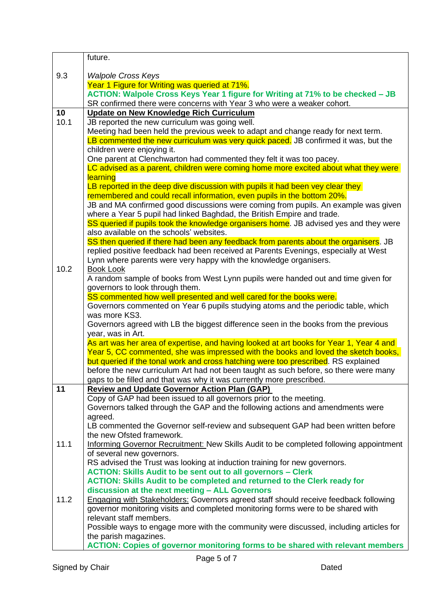|      | future.                                                                                                                                                                  |
|------|--------------------------------------------------------------------------------------------------------------------------------------------------------------------------|
| 9.3  | <b>Walpole Cross Keys</b>                                                                                                                                                |
|      | Year 1 Figure for Writing was queried at 71%.                                                                                                                            |
|      | ACTION: Walpole Cross Keys Year 1 figure for Writing at 71% to be checked - JB                                                                                           |
|      | SR confirmed there were concerns with Year 3 who were a weaker cohort.                                                                                                   |
| 10   | <b>Update on New Knowledge Rich Curriculum</b>                                                                                                                           |
| 10.1 | JB reported the new curriculum was going well.                                                                                                                           |
|      | Meeting had been held the previous week to adapt and change ready for next term.                                                                                         |
|      | LB commented the new curriculum was very quick paced. JB confirmed it was, but the                                                                                       |
|      | children were enjoying it.                                                                                                                                               |
|      | One parent at Clenchwarton had commented they felt it was too pacey.                                                                                                     |
|      | LC advised as a parent, children were coming home more excited about what they were                                                                                      |
|      | learning                                                                                                                                                                 |
|      | LB reported in the deep dive discussion with pupils it had been vey clear they                                                                                           |
|      | remembered and could recall information, even pupils in the bottom 20%.                                                                                                  |
|      | JB and MA confirmed good discussions were coming from pupils. An example was given                                                                                       |
|      | where a Year 5 pupil had linked Baghdad, the British Empire and trade.                                                                                                   |
|      | SS queried if pupils took the knowledge organisers home. JB advised yes and they were                                                                                    |
|      | also available on the schools' websites.<br>SS then queried if there had been any feedback from parents about the organisers. JB                                         |
|      | replied positive feedback had been received at Parents Evenings, especially at West                                                                                      |
|      | Lynn where parents were very happy with the knowledge organisers.                                                                                                        |
| 10.2 | <b>Book Look</b>                                                                                                                                                         |
|      | A random sample of books from West Lynn pupils were handed out and time given for                                                                                        |
|      | governors to look through them.                                                                                                                                          |
|      | SS commented how well presented and well cared for the books were.                                                                                                       |
|      | Governors commented on Year 6 pupils studying atoms and the periodic table, which                                                                                        |
|      | was more KS3.                                                                                                                                                            |
|      | Governors agreed with LB the biggest difference seen in the books from the previous                                                                                      |
|      | year, was in Art.                                                                                                                                                        |
|      | As art was her area of expertise, and having looked at art books for Year 1, Year 4 and                                                                                  |
|      | Year 5, CC commented, she was impressed with the books and loved the sketch books,<br>but queried if the tonal work and cross hatching were too prescribed. RS explained |
|      | before the new curriculum Art had not been taught as such before, so there were many                                                                                     |
|      | gaps to be filled and that was why it was currently more prescribed.                                                                                                     |
| 11   | <b>Review and Update Governor Action Plan (GAP)</b>                                                                                                                      |
|      | Copy of GAP had been issued to all governors prior to the meeting.                                                                                                       |
|      | Governors talked through the GAP and the following actions and amendments were                                                                                           |
|      | agreed.                                                                                                                                                                  |
|      | LB commented the Governor self-review and subsequent GAP had been written before                                                                                         |
|      | the new Ofsted framework.                                                                                                                                                |
| 11.1 | Informing Governor Recruitment: New Skills Audit to be completed following appointment                                                                                   |
|      | of several new governors.                                                                                                                                                |
|      | RS advised the Trust was looking at induction training for new governors.                                                                                                |
|      | <b>ACTION: Skills Audit to be sent out to all governors - Clerk</b>                                                                                                      |
|      | <b>ACTION: Skills Audit to be completed and returned to the Clerk ready for</b><br>discussion at the next meeting - ALL Governors                                        |
| 11.2 | <b>Engaging with Stakeholders: Governors agreed staff should receive feedback following</b>                                                                              |
|      | governor monitoring visits and completed monitoring forms were to be shared with                                                                                         |
|      | relevant staff members.                                                                                                                                                  |
|      | Possible ways to engage more with the community were discussed, including articles for                                                                                   |
|      | the parish magazines.                                                                                                                                                    |
|      | <b>ACTION: Copies of governor monitoring forms to be shared with relevant members</b>                                                                                    |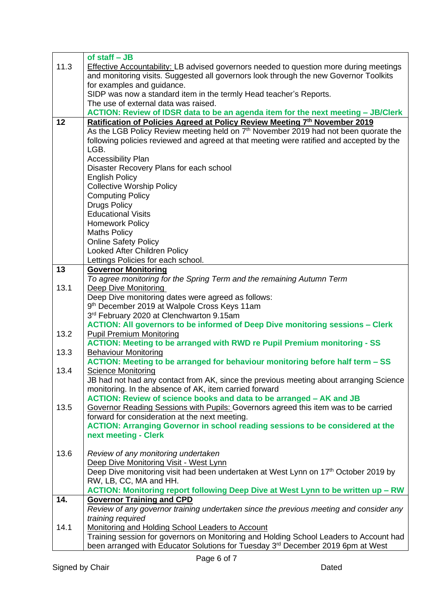|      | of staff $-$ JB                                                                                 |
|------|-------------------------------------------------------------------------------------------------|
| 11.3 | Effective Accountability: LB advised governors needed to question more during meetings          |
|      | and monitoring visits. Suggested all governors look through the new Governor Toolkits           |
|      | for examples and guidance.                                                                      |
|      | SIDP was now a standard item in the termly Head teacher's Reports.                              |
|      | The use of external data was raised.                                                            |
|      | ACTION: Review of IDSR data to be an agenda item for the next meeting - JB/Clerk                |
| 12   | Ratification of Policies Agreed at Policy Review Meeting 7th November 2019                      |
|      | As the LGB Policy Review meeting held on 7 <sup>th</sup> November 2019 had not been quorate the |
|      | following policies reviewed and agreed at that meeting were ratified and accepted by the        |
|      | LGB.                                                                                            |
|      |                                                                                                 |
|      | <b>Accessibility Plan</b>                                                                       |
|      | Disaster Recovery Plans for each school                                                         |
|      | <b>English Policy</b>                                                                           |
|      | <b>Collective Worship Policy</b>                                                                |
|      | <b>Computing Policy</b>                                                                         |
|      | <b>Drugs Policy</b>                                                                             |
|      | <b>Educational Visits</b>                                                                       |
|      | <b>Homework Policy</b>                                                                          |
|      | <b>Maths Policy</b>                                                                             |
|      | <b>Online Safety Policy</b>                                                                     |
|      | <b>Looked After Children Policy</b>                                                             |
|      | Lettings Policies for each school.                                                              |
| 13   | <b>Governor Monitoring</b>                                                                      |
|      | To agree monitoring for the Spring Term and the remaining Autumn Term                           |
| 13.1 | <b>Deep Dive Monitoring</b>                                                                     |
|      | Deep Dive monitoring dates were agreed as follows:                                              |
|      | 9th December 2019 at Walpole Cross Keys 11am                                                    |
|      | 3rd February 2020 at Clenchwarton 9.15am                                                        |
|      | <b>ACTION: All governors to be informed of Deep Dive monitoring sessions - Clerk</b>            |
| 13.2 | <b>Pupil Premium Monitoring</b>                                                                 |
|      | <b>ACTION: Meeting to be arranged with RWD re Pupil Premium monitoring - SS</b>                 |
| 13.3 | <b>Behaviour Monitoring</b>                                                                     |
|      | ACTION: Meeting to be arranged for behaviour monitoring before half term - SS                   |
| 13.4 | <b>Science Monitoring</b>                                                                       |
|      | JB had not had any contact from AK, since the previous meeting about arranging Science          |
|      | monitoring. In the absence of AK, item carried forward                                          |
|      | ACTION: Review of science books and data to be arranged - AK and JB                             |
| 13.5 | Governor Reading Sessions with Pupils: Governors agreed this item was to be carried             |
|      | forward for consideration at the next meeting.                                                  |
|      | <b>ACTION: Arranging Governor in school reading sessions to be considered at the</b>            |
|      | next meeting - Clerk                                                                            |
|      |                                                                                                 |
| 13.6 | Review of any monitoring undertaken                                                             |
|      | Deep Dive Monitoring Visit - West Lynn                                                          |
|      | Deep Dive monitoring visit had been undertaken at West Lynn on 17 <sup>th</sup> October 2019 by |
|      | RW, LB, CC, MA and HH.                                                                          |
|      |                                                                                                 |
|      | ACTION: Monitoring report following Deep Dive at West Lynn to be written up - RW                |
| 14.  | <b>Governor Training and CPD</b>                                                                |
|      | Review of any governor training undertaken since the previous meeting and consider any          |
|      | training required                                                                               |
| 14.1 | Monitoring and Holding School Leaders to Account                                                |
|      | Training session for governors on Monitoring and Holding School Leaders to Account had          |
|      | been arranged with Educator Solutions for Tuesday 3rd December 2019 6pm at West                 |